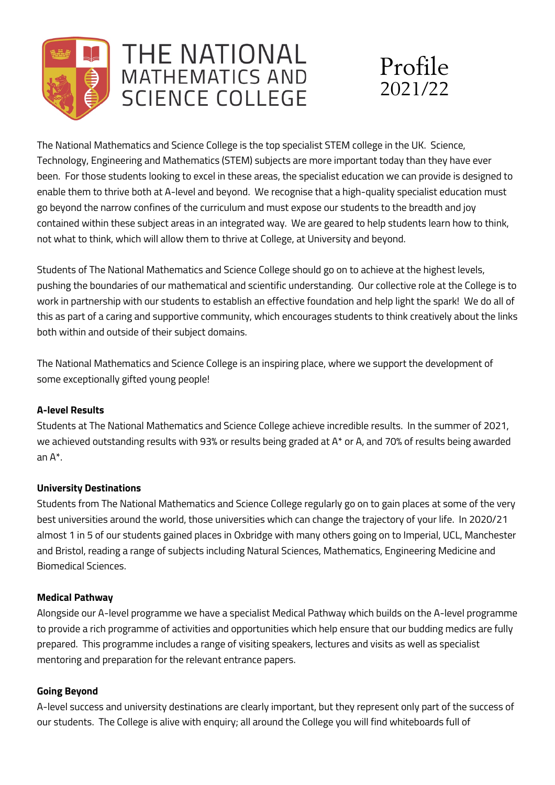

# THE NATIONAL **MATHEMATICS AND SCIENCE COLLEGE**



The National Mathematics and Science College is the top specialist STEM college in the UK. Science, Technology, Engineering and Mathematics (STEM) subjects are more important today than they have ever been. For those students looking to excel in these areas, the specialist education we can provide is designed to enable them to thrive both at A-level and beyond. We recognise that a high-quality specialist education must go beyond the narrow confines of the curriculum and must expose our students to the breadth and joy contained within these subject areas in an integrated way. We are geared to help students learn how to think, not what to think, which will allow them to thrive at College, at University and beyond.

Students of The National Mathematics and Science College should go on to achieve at the highest levels, pushing the boundaries of our mathematical and scientific understanding. Our collective role at the College is to work in partnership with our students to establish an effective foundation and help light the spark! We do all of this as part of a caring and supportive community, which encourages students to think creatively about the links both within and outside of their subject domains.

The National Mathematics and Science College is an inspiring place, where we support the development of some exceptionally gifted young people!

### **A-level Results**

Students at The National Mathematics and Science College achieve incredible results. In the summer of 2021, we achieved outstanding results with 93% or results being graded at A\* or A, and 70% of results being awarded an A\*.

## **University Destinations**

Students from The National Mathematics and Science College regularly go on to gain places at some of the very best universities around the world, those universities which can change the trajectory of your life. In 2020/21 almost 1 in 5 of our students gained places in Oxbridge with many others going on to Imperial, UCL, Manchester and Bristol, reading a range of subjects including Natural Sciences, Mathematics, Engineering Medicine and Biomedical Sciences.

### **Medical Pathway**

Alongside our A-level programme we have a specialist Medical Pathway which builds on the A-level programme to provide a rich programme of activities and opportunities which help ensure that our budding medics are fully prepared. This programme includes a range of visiting speakers, lectures and visits as well as specialist mentoring and preparation for the relevant entrance papers.

### **Going Beyond**

A-level success and university destinations are clearly important, but they represent only part of the success of our students. The College is alive with enquiry; all around the College you will find whiteboards full of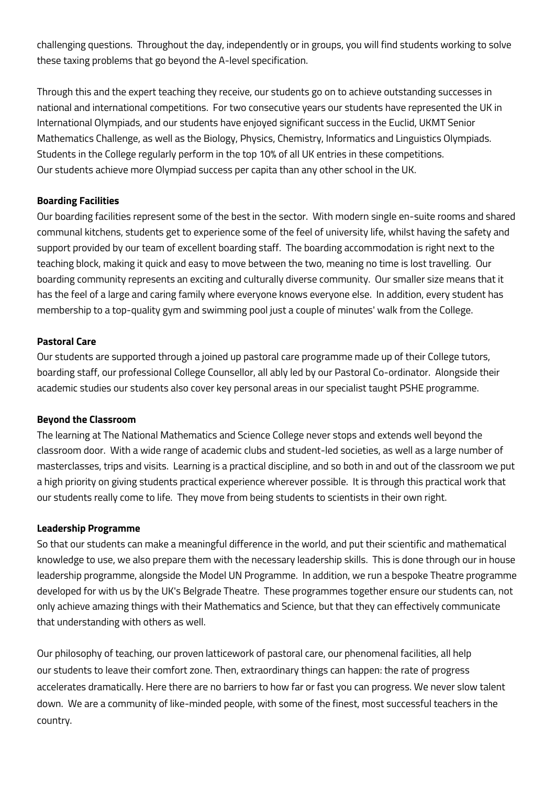challenging questions. Throughout the day, independently or in groups, you will find students working to solve these taxing problems that go beyond the A-level specification.

Through this and the expert teaching they receive, our students go on to achieve outstanding successes in national and international competitions. For two consecutive years our students have represented the UK in International Olympiads, and our students have enjoyed significant success in the Euclid, UKMT Senior Mathematics Challenge, as well as the Biology, Physics, Chemistry, Informatics and Linguistics Olympiads. Students in the College regularly perform in the top 10% of all UK entries in these competitions. Our students achieve more Olympiad success per capita than any other school in the UK.

#### **Boarding Facilities**

Our boarding facilities represent some of the best in the sector. With modern single en-suite rooms and shared communal kitchens, students get to experience some of the feel of university life, whilst having the safety and support provided by our team of excellent boarding staff. The boarding accommodation is right next to the teaching block, making it quick and easy to move between the two, meaning no time is lost travelling. Our boarding community represents an exciting and culturally diverse community. Our smaller size means that it has the feel of a large and caring family where everyone knows everyone else. In addition, every student has membership to a top-quality gym and swimming pool just a couple of minutes' walk from the College.

#### **Pastoral Care**

Our students are supported through a joined up pastoral care programme made up of their College tutors, boarding staff, our professional College Counsellor, all ably led by our Pastoral Co-ordinator. Alongside their academic studies our students also cover key personal areas in our specialist taught PSHE programme.

#### **Beyond the Classroom**

The learning at The National Mathematics and Science College never stops and extends well beyond the classroom door. With a wide range of academic clubs and student-led societies, as well as a large number of masterclasses, trips and visits. Learning is a practical discipline, and so both in and out of the classroom we put a high priority on giving students practical experience wherever possible. It is through this practical work that our students really come to life. They move from being students to scientists in their own right.

#### **Leadership Programme**

So that our students can make a meaningful difference in the world, and put their scientific and mathematical knowledge to use, we also prepare them with the necessary leadership skills. This is done through our in house leadership programme, alongside the Model UN Programme. In addition, we run a bespoke Theatre programme developed for with us by the UK's Belgrade Theatre. These programmes together ensure our students can, not only achieve amazing things with their Mathematics and Science, but that they can effectively communicate that understanding with others as well.

Our philosophy of teaching, our proven latticework of pastoral care, our phenomenal facilities, all help our students to leave their comfort zone. Then, extraordinary things can happen: the rate of progress accelerates dramatically. Here there are no barriers to how far or fast you can progress. We never slow talent down. We are a community of like-minded people, with some of the finest, most successful teachers in the country.